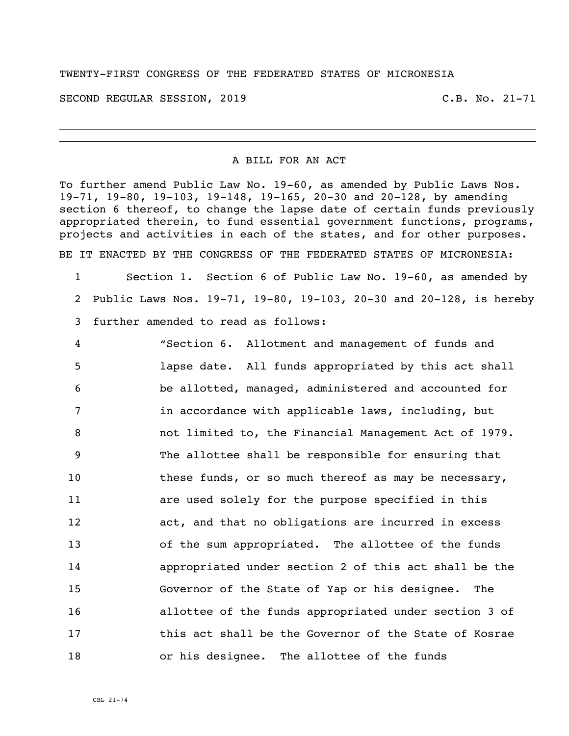## TWENTY-FIRST CONGRESS OF THE FEDERATED STATES OF MICRONESIA

SECOND REGULAR SESSION, 2019 C.B. No. 21-71

## A BILL FOR AN ACT

To further amend Public Law No. 19-60, as amended by Public Laws Nos. 19-71, 19-80, 19-103, 19-148, 19-165, 20-30 and 20-128, by amending section 6 thereof, to change the lapse date of certain funds previously appropriated therein, to fund essential government functions, programs, projects and activities in each of the states, and for other purposes. BE IT ENACTED BY THE CONGRESS OF THE FEDERATED STATES OF MICRONESIA:

 Section 1. Section 6 of Public Law No. 19-60, as amended by Public Laws Nos. 19-71, 19-80, 19-103, 20-30 and 20-128, is hereby further amended to read as follows:

 "Section 6. Allotment and management of funds and lapse date. All funds appropriated by this act shall be allotted, managed, administered and accounted for in accordance with applicable laws, including, but not limited to, the Financial Management Act of 1979. The allottee shall be responsible for ensuring that 10 these funds, or so much thereof as may be necessary, are used solely for the purpose specified in this act, and that no obligations are incurred in excess of the sum appropriated. The allottee of the funds appropriated under section 2 of this act shall be the Governor of the State of Yap or his designee. The allottee of the funds appropriated under section 3 of this act shall be the Governor of the State of Kosrae or his designee. The allottee of the funds